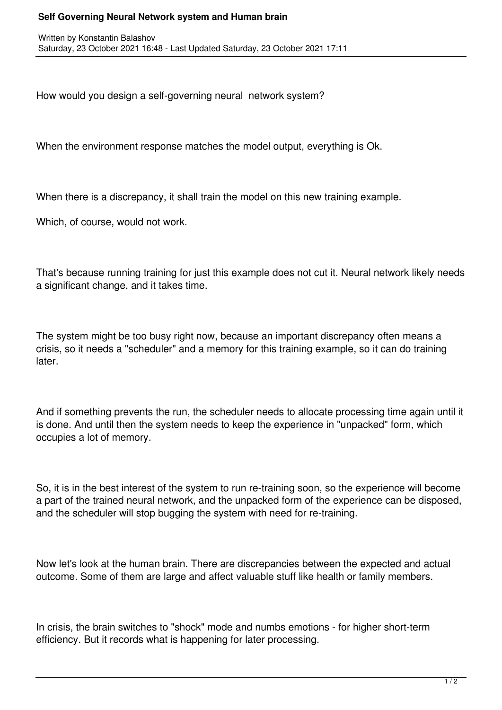## **Self Governing Neural Network system and Human brain**

How would you design a self-governing neural network system?

When the environment response matches the model output, everything is Ok.

When there is a discrepancy, it shall train the model on this new training example.

Which, of course, would not work.

That's because running training for just this example does not cut it. Neural network likely needs a significant change, and it takes time.

The system might be too busy right now, because an important discrepancy often means a crisis, so it needs a "scheduler" and a memory for this training example, so it can do training later.

And if something prevents the run, the scheduler needs to allocate processing time again until it is done. And until then the system needs to keep the experience in "unpacked" form, which occupies a lot of memory.

So, it is in the best interest of the system to run re-training soon, so the experience will become a part of the trained neural network, and the unpacked form of the experience can be disposed, and the scheduler will stop bugging the system with need for re-training.

Now let's look at the human brain. There are discrepancies between the expected and actual outcome. Some of them are large and affect valuable stuff like health or family members.

In crisis, the brain switches to "shock" mode and numbs emotions - for higher short-term efficiency. But it records what is happening for later processing.